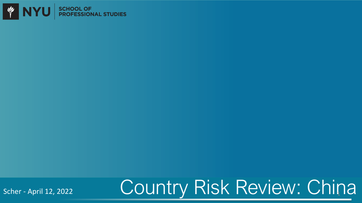

Scher - April 12, 2022

# Country Risk Review: China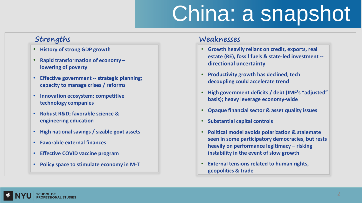# China: a snapshot

### **Strengths**

- **History of strong GDP growth**
- **Rapid transformation of economy – lowering of poverty**
- **Effective government -- strategic planning; capacity to manage crises / reforms**
- **Innovation ecosystem; competitive technology companies**
- **Robust R&D; favorable science & engineering education**
- **High national savings / sizable govt assets**
- **Favorable external finances**
- **Effective COVID vaccine program**
- **Policy space to stimulate economy in M-T**

### **Weaknesses**

- **Growth heavily reliant on credit, exports, real estate (RE), fossil fuels & state-led investment - directional uncertainty**
- **Productivity growth has declined; tech decoupling could accelerate trend**
- **High government deficits / debt (IMF's "adjusted" basis); heavy leverage economy-wide**
- **Opaque financial sector & asset quality issues**
- **Substantial capital controls**
- **Political model avoids polarization & stalemate seen in some participatory democracies, but rests heavily on performance legitimacy – risking instability in the event of slow growth**
- **External tensions related to human rights, geopolitics & trade**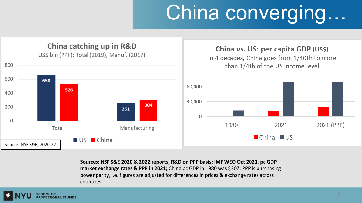# China converging...



**Sources: NSF S&E 2020 & 2022 reports, R&D on PPP basis; IMF WEO Oct 2021, pc GDP market exchange rates & PPP in 2021;** China pc GDP in 1980 was \$307; PPP is purchasing power parity, i.e. figures are adjusted for differences in prices & exchange rates across countries.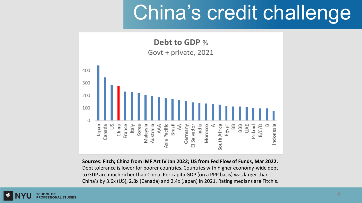## China's credit challenge



**Sources: Fitch; China from IMF Art IV Jan 2022; US from Fed Flow of Funds, Mar 2022.** Debt tolerance is lower for poorer countries. Countries with higher economy-wide debt to GDP are much richer than China: Per capita GDP (on a PPP basis) was larger than China's by 3.6x (US), 2.8x (Canada) and 2.4x (Japan) in 2021. Rating medians are Fitch's.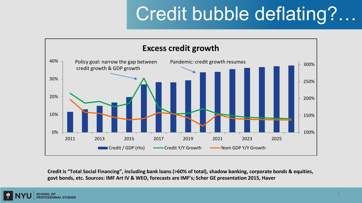### Credit bubble deflating?…



**Credit is "Total Social Financing", including bank loans (>60% of total), shadow banking, corporate bonds & equities, govt bonds, etc. Sources: IMF Art IV & WEO, forecasts are IMF's; Scher GE presentation 2015, Haver**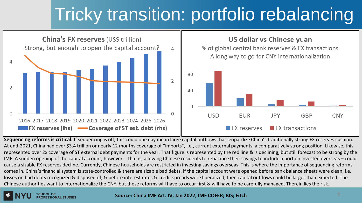### Tricky transition: portfolio rebalancing



Sequencing reforms is critical. If sequencing is off, this could one day mean large capital outflows that jeopardize China's traditionally strong FX reserves cushion. At end-2021, China had over \$3.4 trillion or nearly 12 months coverage of "imports", i.e., current external payments, a comparatively strong position. Likewise, this represented over 2x coverage of ST external debt payments for the year. That figure is represented by the red line & is declining, but still forecast to be strong by the IMF. A sudden opening of the capital account, however -- that is, allowing Chinese residents to rebalance their savings to include a portion invested overseas – could cause a sizable FX reserves decline. Currently, Chinese households are restricted in investing savings overseas. This is where the importance of sequencing reforms comes in. China's financial system is state-controlled & there are sizable bad debts. If the capital account were opened before bank balance sheets were clean, i.e. losses on bad debts recognized & disposed of, & before interest rates & credit spreads were liberalized, then capital outflows could be larger than expected. The Chinese authorities want to internationalize the CNY, but these reforms will have to occur first & will have to be carefully managed. Therein lies the risk.

### 6 **Source: China IMF Art. IV, Jan 2022, IMF COFER; BIS; Fitch**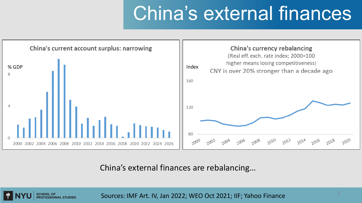### China's external finances



China's external finances are rebalancing…



Sources: IMF Art. IV, Jan 2022; WEO Oct 2021; IIF; Yahoo Finance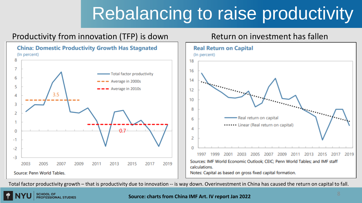### Rebalancing to raise productivity

### Productivity from innovation (TFP) is down Return on investment has fallen





Total factor productivity growth – that is productivity due to innovation -- is way down. Overinvestment in China has caused the return on capital to fall.

**PROFESSIONAL STUDIES** 

### **Source: charts from China IMF Art. IV report Jan 2022**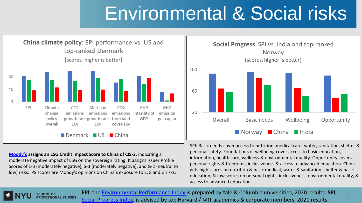### Environmental & Social risks



**[Moody's](https://www.moodys.com/credit-ratings/China-Government-of-credit-rating-599085/reports?category=Ratings_and_Assessments_Reports_rc|Issuer_Reports_rc&type=Rating_Action_rc|Announcement_rc|Announcement_of_Periodic_Review_rc,Credit_Opinion_ir_rc|Issuer_in_Depth_rc) assigns an ESG Credit Impact Score to China of CIS-3**, indicating a moderate negative impact of ESG on the sovereign rating. It assigns Issuer Profile Scores of E-3 (moderately negative), S-3 (moderately negative), and G-2 (neutral to low) risks. IPS scores are Moody's opinions on China's exposure to E, S and G risks.

**PROFESSIONAL STUDIES** 



SPI: Basic needs cover access to nutrition, medical care, water, sanitation, shelter & personal safety. Foundations of wellbeing cover access to basic education, information, health care, wellness & environmental quality. Opportunity covers personal rights & freedoms, inclusiveness & access to advanced education. China gets high scores on nutrition & basic medical, water & sanitation, shelter & basic education; & low scores on personal rights, inclusiveness, environmental quality, & access to advanced education.

**EPI**, the [Environmental Performance Index i](https://epi.yale.edu/epi-results/2020/component/epi)s prepared by Yale & Columbia universities; 2020 results. **SPI,** [Social Progress Index,](https://www.socialprogress.org/) is advised by top Harvard / MIT academics & corporate members, 2021 results.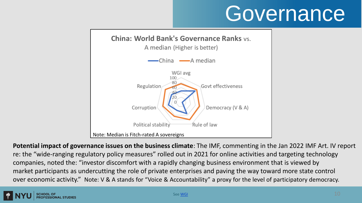# **Governance**



**Potential impact of governance issues on the business climate**: The IMF, commenting in the Jan 2022 IMF Art. IV report re: the "wide-ranging regulatory policy measures" rolled out in 2021 for online activities and targeting technology companies, noted the: "investor discomfort with a rapidly changing business environment that is viewed by market participants as undercutting the role of private enterprises and paving the way toward more state control over economic activity." Note: V & A stands for "Voice & Accountability" a proxy for the level of participatory democracy.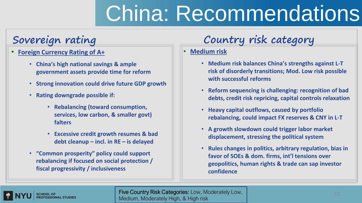# China: Recommendations

### **Sovereign rating**

- **Foreign Currency Rating of A+**
	- **China's high national savings & ample government assets provide time for reform**
	- **Strong innovation could drive future GDP growth**
	- **Rating downgrade possible if:**
		- **Rebalancing (toward consumption, services, low carbon, & smaller govt) falters**
		- **Excessive credit growth resumes & bad debt cleanup – incl. in RE – is delayed**
	- **"Common prosperity" policy could support rebalancing if focused on social protection / fiscal progressivity / inclusiveness**

### **Country risk category**

### • **Medium risk**

- **Medium risk balances China's strengths against L-T risk of disorderly transitions; Mod. Low risk possible with successful reforms**
- **Reform sequencing is challenging: recognition of bad debts, credit risk repricing, capital controls relaxation**
- **Heavy capital outflows, caused by portfolio rebalancing, could impact FX reserves & CNY in L-T**
- **A growth slowdown could trigger labor market displacement, stressing the political system**
- **Rules changes in politics, arbitrary regulation, bias in favor of SOEs & dom. firms, int'l tensions over geopolitics, human rights & trade can sap investor confidence**